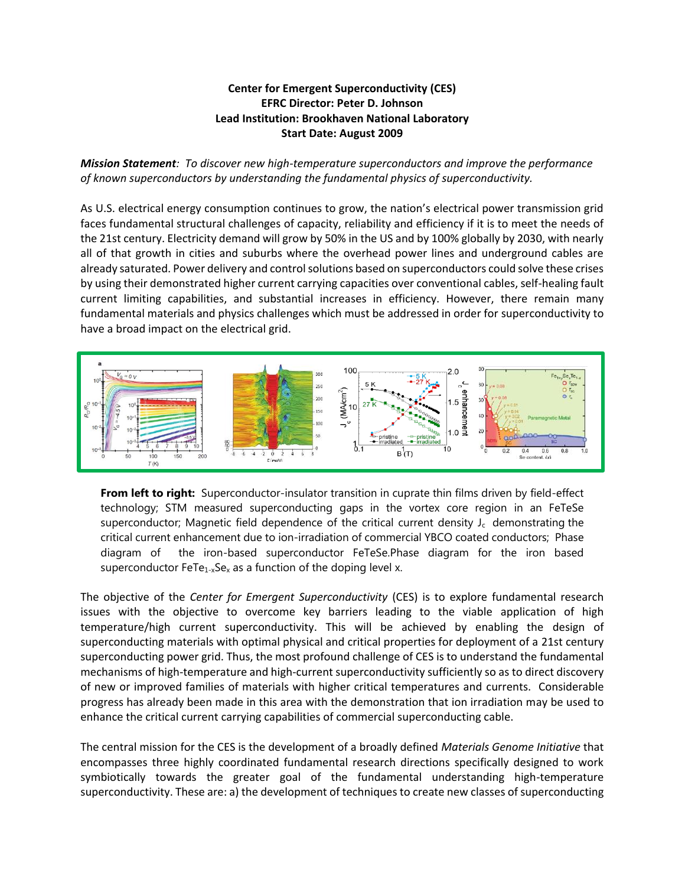## **Center for Emergent Superconductivity (CES) EFRC Director: Peter D. Johnson Lead Institution: Brookhaven National Laboratory Start Date: August 2009**

*Mission Statement: To discover new high-temperature superconductors and improve the performance of known superconductors by understanding the fundamental physics of superconductivity.*

As U.S. electrical energy consumption continues to grow, the nation's electrical power transmission grid faces fundamental structural challenges of capacity, reliability and efficiency if it is to meet the needs of the 21st century. Electricity demand will grow by 50% in the US and by 100% globally by 2030, with nearly all of that growth in cities and suburbs where the overhead power lines and underground cables are already saturated. Power delivery and control solutions based on superconductors could solve these crises by using their demonstrated higher current carrying capacities over conventional cables, self-healing fault current limiting capabilities, and substantial increases in efficiency. However, there remain many fundamental materials and physics challenges which must be addressed in order for superconductivity to have a broad impact on the electrical grid.



**From left to right:** Superconductor-insulator transition in cuprate thin films driven by field-effect technology; STM measured superconducting gaps in the vortex core region in an FeTeSe superconductor; Magnetic field dependence of the critical current density  $J_c$  demonstrating the critical current enhancement due to ion-irradiation of commercial YBCO coated conductors; Phase diagram of the iron-based superconductor FeTeSe.Phase diagram for the iron based superconductor  $FeTe_{1-x}Se_x$  as a function of the doping level x.

The objective of the *Center for Emergent Superconductivity* (CES) is to explore fundamental research issues with the objective to overcome key barriers leading to the viable application of high temperature/high current superconductivity. This will be achieved by enabling the design of superconducting materials with optimal physical and critical properties for deployment of a 21st century superconducting power grid. Thus, the most profound challenge of CES is to understand the fundamental mechanisms of high-temperature and high-current superconductivity sufficiently so as to direct discovery of new or improved families of materials with higher critical temperatures and currents. Considerable progress has already been made in this area with the demonstration that ion irradiation may be used to enhance the critical current carrying capabilities of commercial superconducting cable.

The central mission for the CES is the development of a broadly defined *Materials Genome Initiative* that encompasses three highly coordinated fundamental research directions specifically designed to work symbiotically towards the greater goal of the fundamental understanding high-temperature superconductivity. These are: a) the development of techniques to create new classes of superconducting